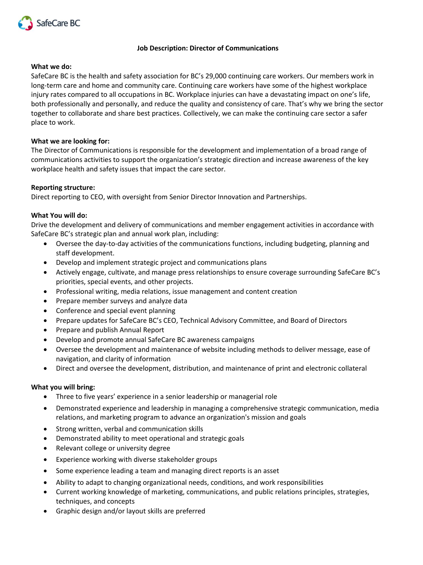

# **Job Description: Director of Communications**

# **What we do:**

SafeCare BC is the health and safety association for BC's 29,000 continuing care workers. Our members work in long-term care and home and community care. Continuing care workers have some of the highest workplace injury rates compared to all occupations in BC. Workplace injuries can have a devastating impact on one's life, both professionally and personally, and reduce the quality and consistency of care. That's why we bring the sector together to collaborate and share best practices. Collectively, we can make the continuing care sector a safer place to work.

# **What we are looking for:**

The Director of Communications is responsible for the development and implementation of a broad range of communications activities to support the organization's strategic direction and increase awareness of the key workplace health and safety issues that impact the care sector.

# **Reporting structure:**

Direct reporting to CEO, with oversight from Senior Director Innovation and Partnerships.

# **What You will do:**

Drive the development and delivery of communications and member engagement activities in accordance with SafeCare BC's strategic plan and annual work plan, including:

- Oversee the day-to-day activities of the communications functions, including budgeting, planning and staff development.
- Develop and implement strategic project and communications plans
- Actively engage, cultivate, and manage press relationships to ensure coverage surrounding SafeCare BC's priorities, special events, and other projects.
- Professional writing, media relations, issue management and content creation
- Prepare member surveys and analyze data
- Conference and special event planning
- Prepare updates for SafeCare BC's CEO, Technical Advisory Committee, and Board of Directors
- Prepare and publish Annual Report
- Develop and promote annual SafeCare BC awareness campaigns
- Oversee the development and maintenance of website including methods to deliver message, ease of navigation, and clarity of information
- Direct and oversee the development, distribution, and maintenance of print and electronic collateral

# **What you will bring:**

- Three to five years' experience in a senior leadership or managerial role
- Demonstrated experience and leadership in managing a comprehensive strategic communication, media relations, and marketing program to advance an organization's mission and goals
- Strong written, verbal and communication skills
- Demonstrated ability to meet operational and strategic goals
- Relevant college or university degree
- Experience working with diverse stakeholder groups
- Some experience leading a team and managing direct reports is an asset
- Ability to adapt to changing organizational needs, conditions, and work responsibilities
- Current working knowledge of marketing, communications, and public relations principles, strategies, techniques, and concepts
- Graphic design and/or layout skills are preferred